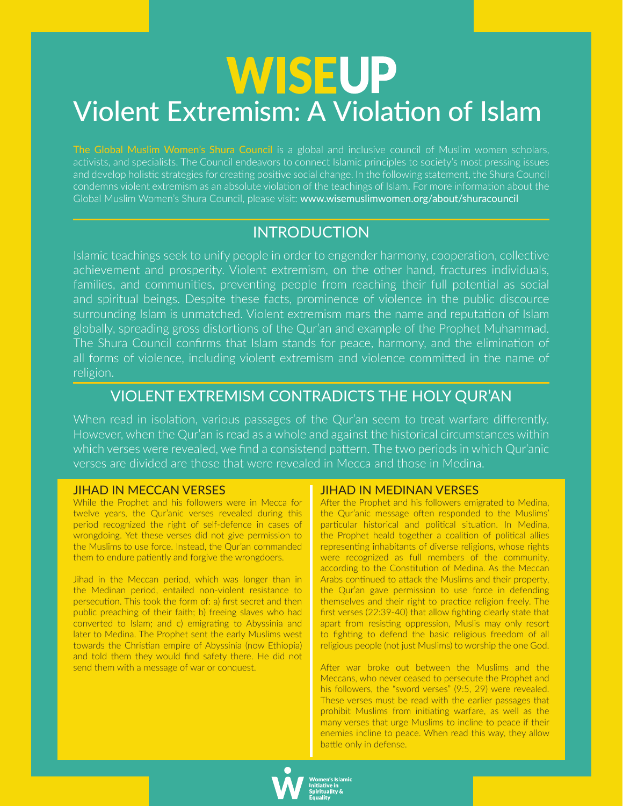# **WISEUP** Violent Extremism: A Violation of Islam

The Global Muslim Women's Shura Council is a global and inclusive council of Muslim women scholars, activists, and specialists. The Council endeavors to connect Islamic principles to society's most pressing issues and develop holistic strategies for creating positive social change. In the following statement, the Shura Council condemns violent extremism as an absolute violation of the teachings of Islam. For more information about the Global Muslim Women's Shura Council, please visit: www.wisemuslimwomen.org/about/shuracouncil

## INTRODUCTION

Islamic teachings seek to unify people in order to engender harmony, cooperaton, collectve achievement and prosperity. Violent extremism, on the other hand, fractures individuals, families, and communities, preventing people from reaching their full potential as social and spiritual beings. Despite these facts, prominence of violence in the public discource surrounding Islam is unmatched. Violent extremism mars the name and reputation of Islam globally, spreading gross distortions of the Qur'an and example of the Prophet Muhammad. The Shura Council confirms that Islam stands for peace, harmony, and the elimination of all forms of violence, including violent extremism and violence commited in the name of religion.

# VIOLENT EXTREMISM CONTRADICTS THE HOLY QUR'AN

When read in isolation, various passages of the Qur'an seem to treat warfare differently. However, when the Qur'an is read as a whole and against the historical circumstances within which verses were revealed, we fnd a consistend patern. The two periods in which Qur'anic verses are divided are those that were revealed in Mecca and those in Medina.

#### JIHAD IN MECCAN VERSES

While the Prophet and his followers were in Mecca for twelve years, the Qur'anic verses revealed during this period recognized the right of self-defence in cases of wrongdoing. Yet these verses did not give permission to the Muslims to use force. Instead, the Qur'an commanded them to endure patiently and forgive the wrongdoers.

Jihad in the Meccan period, which was longer than in the Medinan period, entailed non-violent resistance to persecution. This took the form of: a) first secret and then public preaching of their faith; b) freeing slaves who had converted to Islam; and c) emigrating to Abyssinia and later to Medina. The Prophet sent the early Muslims west towards the Christian empire of Abyssinia (now Ethiopia) and told them they would fnd safety there. He did not send them with a message of war or conquest.

#### JIHAD IN MEDINAN VERSES

After the Prophet and his followers emigrated to Medina, the Qur'anic message often responded to the Muslims' particular historical and political situation. In Medina, the Prophet heald together a coalition of political allies representing inhabitants of diverse religions, whose rights were recognized as full members of the community, according to the Constitution of Medina. As the Meccan Arabs continued to attack the Muslims and their property, the Qur'an gave permission to use force in defending themselves and their right to practice religion freely. The first verses (22:39-40) that allow fighting clearly state that apart from resisting oppression, Muslis may only resort to fighting to defend the basic religious freedom of all religious people (not just Muslims) to worship the one God.

After war broke out between the Muslims and the Meccans, who never ceased to persecute the Prophet and his followers, the "sword verses" (9:5, 29) were revealed. These verses must be read with the earlier passages that prohibit Muslims from initiating warfare, as well as the many verses that urge Muslims to incline to peace if their enemies incline to peace. When read this way, they allow battle only in defense.

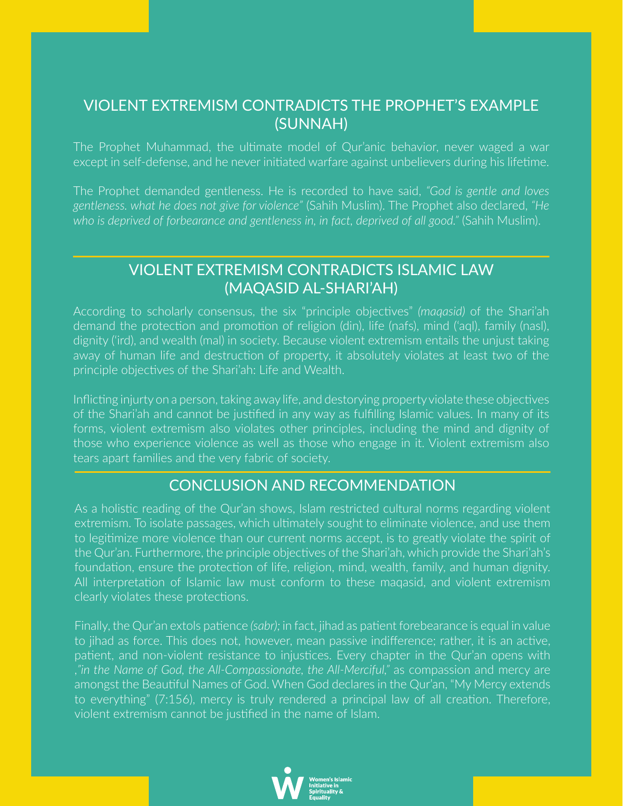### VIOLENT EXTREMISM CONTRADICTS THE PROPHET'S EXAMPLE (SUNNAH)

The Prophet Muhammad, the ultmate model of Qur'anic behavior, never waged a war except in self-defense, and he never initated warfare against unbelievers during his lifetme.

The Prophet demanded gentleness. He is recorded to have said, *"God is gentle and loves gentleness. what he does not give for violence"* (Sahih Muslim). The Prophet also declared, *"He who is deprived of forbearance and gentleness in, in fact, deprived of all good."* (Sahih Muslim).

# VIOLENT EXTREMISM CONTRADICTS ISLAMIC LAW (MAQASID AL-SHARI'AH)

According to scholarly consensus, the six "principle objectves" *(maqasid)* of the Shari'ah demand the protection and promotion of religion (din), life (nafs), mind ('aql), family (nasl), dignity ('ird), and wealth (mal) in society. Because violent extremism entails the unjust taking away of human life and destruction of property, it absolutely violates at least two of the principle objectves of the Shari'ah: Life and Wealth.

Inflicting injurty on a person, taking away life, and destorying property violate these objectives of the Shari'ah and cannot be justfed in any way as fulflling Islamic values. In many of its forms, violent extremism also violates other principles, including the mind and dignity of those who experience violence as well as those who engage in it. Violent extremism also tears apart families and the very fabric of society.

## CONCLUSION AND RECOMMENDATION

As a holistic reading of the Qur'an shows, Islam restricted cultural norms regarding violent extremism. To isolate passages, which ultmately sought to eliminate violence, and use them to legitmize more violence than our current norms accept, is to greatly violate the spirit of the Qur'an. Furthermore, the principle objectives of the Shari'ah, which provide the Shari'ah's foundation, ensure the protection of life, religion, mind, wealth, family, and human dignity. All interpretation of Islamic law must conform to these magasid, and violent extremism clearly violates these protections.

Finally, the Qur'an extols patence *(sabr);* in fact, jihad as patent forebearance is equal in value to jihad as force. This does not, however, mean passive indiference; rather, it is an actve, patient, and non-violent resistance to injustices. Every chapter in the Qur'an opens with ,*"in the Name of God, the All-Compassionate, the All-Merciful,"* as compassion and mercy are amongst the Beautful Names of God. When God declares in the Qur'an, "My Mercy extends to everything" (7:156), mercy is truly rendered a principal law of all creation. Therefore, violent extremism cannot be justfed in the name of Islam.

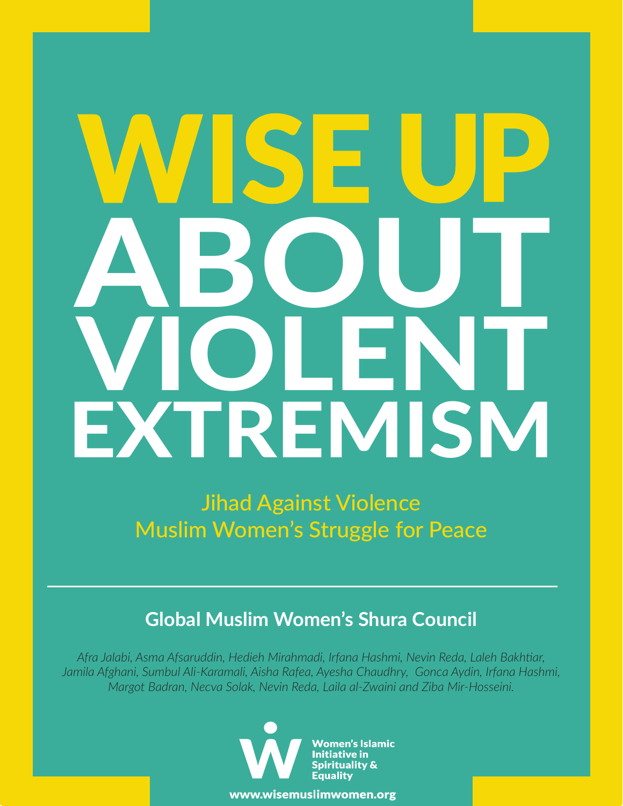# ABOUT VIOLENT **EXTREMISM**

Jihad Against Violence Muslim Women's Struggle for Peace

# **Global Muslim Women's Shura Council**

*Afra Jalabi, Asma Afsaruddin, Hedieh Mirahmadi, Irfana Hashmi, Nevin Reda, Laleh Bakhtar, Jamila Afghani, Sumbul Ali-Karamali, Aisha Rafea, Ayesha Chaudhry, Gonca Aydin, Irfana Hashmi, Margot Badran, Necva Solak, Nevin Reda, Laila al-Zwaini and Ziba Mir-Hosseini.*



www.wisemuslimwomen.org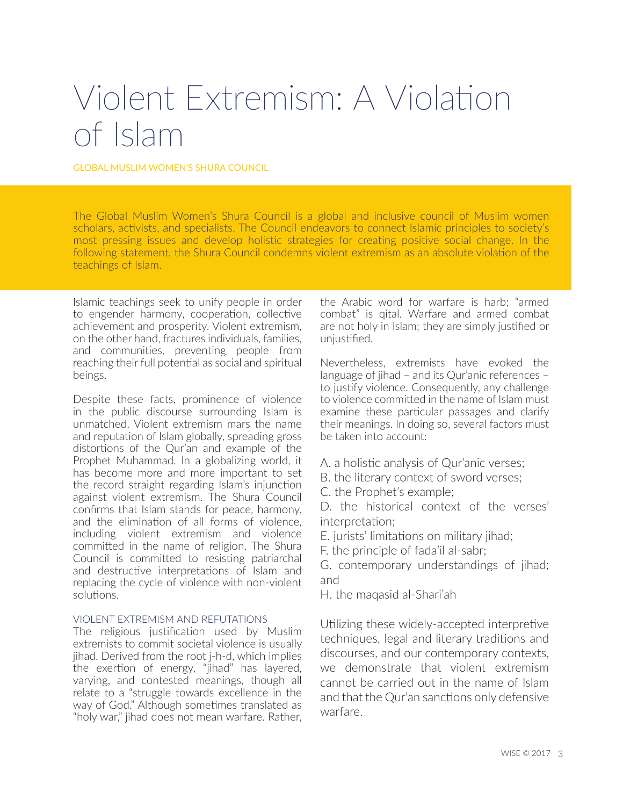# Violent Extremism: A Violaton of Islam

GLOBAL MUSLIM WOMEN'S SHURA COUNCIL

The Global Muslim Women's Shura Council is a global and inclusive council of Muslim women scholars, activists, and specialists. The Council endeavors to connect Islamic principles to society's most pressing issues and develop holistic strategies for creating positive social change. In the following statement, the Shura Council condemns violent extremism as an absolute violation of the teachings of Islam.

Islamic teachings seek to unify people in order to engender harmony, cooperation, collective achievement and prosperity. Violent extremism, on the other hand, fractures individuals, families, and communities, preventing people from reaching their full potential as social and spiritual beings.

Despite these facts, prominence of violence in the public discourse surrounding Islam is unmatched. Violent extremism mars the name and reputation of Islam globally, spreading gross distortions of the Qur'an and example of the Prophet Muhammad. In a globalizing world, it has become more and more important to set the record straight regarding Islam's injunction against violent extremism. The Shura Council confrms that Islam stands for peace, harmony, and the elimination of all forms of violence, including violent extremism and violence commited in the name of religion. The Shura Council is committed to resisting patriarchal and destructive interpretations of Islam and replacing the cycle of violence with non-violent solutions.

#### VIOLENT EXTREMISM AND REFUTATIONS

The religious justification used by Muslim extremists to commit societal violence is usually jihad. Derived from the root j-h-d, which implies the exertion of energy, "jihad" has layered, varying, and contested meanings, though all relate to a "struggle towards excellence in the way of God." Although sometimes translated as "holy war," jihad does not mean warfare. Rather, the Arabic word for warfare is harb; "armed combat" is qital. Warfare and armed combat are not holy in Islam; they are simply justified or unjustified.

Nevertheless, extremists have evoked the language of jihad – and its Qur'anic references – to justfy violence. Consequently, any challenge to violence commited in the name of Islam must examine these particular passages and clarify their meanings. In doing so, several factors must be taken into account:

- A. a holistic analysis of Qur'anic verses;
- B. the literary context of sword verses;
- C. the Prophet's example;

D. the historical context of the verses' interpretation;

E. jurists' limitations on military jihad;

F. the principle of fada'il al-sabr;

G. contemporary understandings of jihad; and

H. the maqasid al-Shari'ah

Utilizing these widely-accepted interpretive techniques, legal and literary traditions and discourses, and our contemporary contexts, we demonstrate that violent extremism cannot be carried out in the name of Islam and that the Qur'an sanctions only defensive warfare.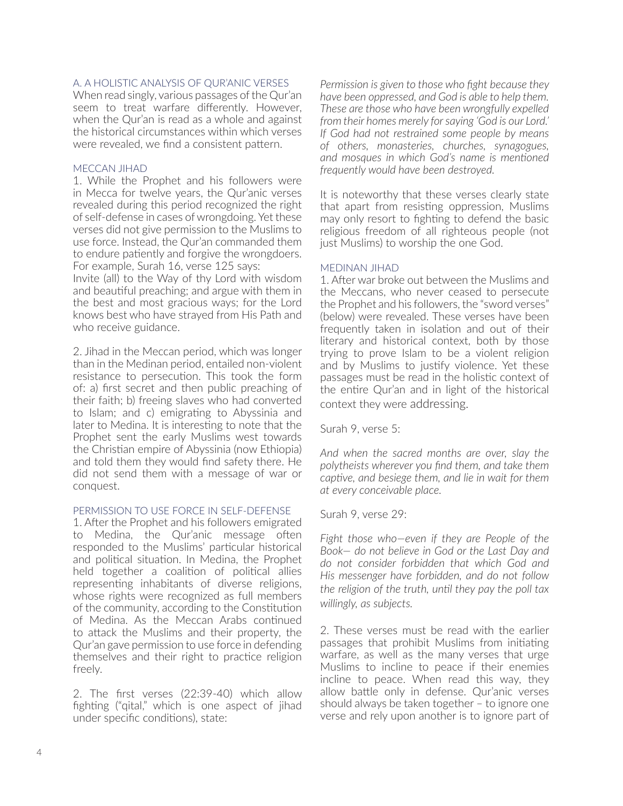#### A. A HOLISTIC ANALYSIS OF QUR'ANIC VERSES

When read singly, various passages of the Qur'an seem to treat warfare diferently. However, when the Qur'an is read as a whole and against the historical circumstances within which verses were revealed, we find a consistent pattern.

#### MECCAN JIHAD

1. While the Prophet and his followers were in Mecca for twelve years, the Qur'anic verses revealed during this period recognized the right of self-defense in cases of wrongdoing. Yet these verses did not give permission to the Muslims to use force. Instead, the Qur'an commanded them to endure patiently and forgive the wrongdoers. For example, Surah 16, verse 125 says:

Invite (all) to the Way of thy Lord with wisdom and beautiful preaching; and argue with them in the best and most gracious ways; for the Lord knows best who have strayed from His Path and who receive guidance.

2. Jihad in the Meccan period, which was longer than in the Medinan period, entailed non-violent resistance to persecution. This took the form of: a) frst secret and then public preaching of their faith; b) freeing slaves who had converted to Islam; and c) emigrating to Abyssinia and later to Medina. It is interesting to note that the Prophet sent the early Muslims west towards the Christan empire of Abyssinia (now Ethiopia) and told them they would fnd safety there. He did not send them with a message of war or conquest.

#### PERMISSION TO USE FORCE IN SELF-DEFENSE

1. After the Prophet and his followers emigrated to Medina, the Qur'anic message often responded to the Muslims' particular historical and political situation. In Medina, the Prophet held together a coalition of political allies representing inhabitants of diverse religions, whose rights were recognized as full members of the community, according to the Constitution of Medina. As the Meccan Arabs contnued to attack the Muslims and their property, the Qur'an gave permission to use force in defending themselves and their right to practice religion freely.

2. The frst verses (22:39-40) which allow fighting ("qital," which is one aspect of jihad under specifc conditons), state:

*Permission is given to those who fight because they have been oppressed, and God is able to help them.* These are those who have been wrongfully expelled *from their homes merely for saying 'God is our Lord.'* If God had not restrained some people by means *of others, monasteries, churches, synagogues, and mosaues in which God's name is mentioned frequently would have been destroyed.* 

It is noteworthy that these verses clearly state that apart from resisting oppression, Muslims may only resort to fighting to defend the basic religious freedom of all righteous people (not just Muslims) to worship the one God.

#### MEDINAN JIHAD

1. After war broke out between the Muslims and the Meccans, who never ceased to persecute the Prophet and his followers, the "sword verses" (below) were revealed. These verses have been frequently taken in isolation and out of their literary and historical context, both by those trying to prove Islam to be a violent religion and by Muslims to justify violence. Yet these passages must be read in the holistic context of the entre Qur'an and in light of the historical context they were addressing.

Surah 9, verse 5:

And when the sacred months are over, slay the polytheists wherever you find them, and take them *captive, and besiege them, and lie in wait for them at every conceivable place.* 

#### Surah 9, verse 29:

Fight those who-even if they are People of the *Book– do not believe in God or the Last Dav and* do not consider forbidden that which God and His messenger have forbidden, and do not follow *the religion of the truth, until they pay the poll tax willingly, as subjects.* 

2. These verses must be read with the earlier passages that prohibit Muslims from initiating warfare, as well as the many verses that urge Muslims to incline to peace if their enemies incline to peace. When read this way, they allow battle only in defense. Qur'anic verses should always be taken together – to ignore one verse and rely upon another is to ignore part of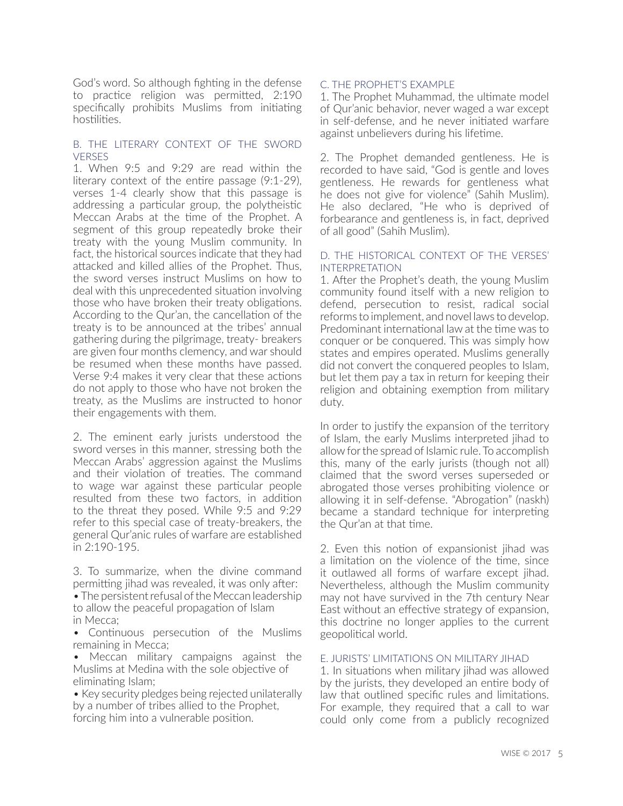God's word. So although fighting in the defense to practice religion was permitted, 2:190 specifically prohibits Muslims from initiating hostilities.

#### B. THE LITERARY CONTEXT OF THE SWORD VERSES

1. When 9:5 and 9:29 are read within the literary context of the entire passage (9:1-29), verses 1-4 clearly show that this passage is addressing a particular group, the polytheistic Meccan Arabs at the time of the Prophet. A segment of this group repeatedly broke their treaty with the young Muslim community. In fact, the historical sources indicate that they had atacked and killed allies of the Prophet. Thus, the sword verses instruct Muslims on how to deal with this unprecedented situation involving those who have broken their treaty obligations. According to the Qur'an, the cancellation of the treaty is to be announced at the tribes' annual gathering during the pilgrimage, treaty- breakers are given four months clemency, and war should be resumed when these months have passed. Verse 9:4 makes it very clear that these actions do not apply to those who have not broken the treaty, as the Muslims are instructed to honor their engagements with them.

2. The eminent early jurists understood the sword verses in this manner, stressing both the Meccan Arabs' aggression against the Muslims and their violation of treaties. The command to wage war against these particular people resulted from these two factors, in addition to the threat they posed. While 9:5 and 9:29 refer to this special case of treaty-breakers, the general Qur'anic rules of warfare are established in 2:190-195.

3. To summarize, when the divine command permitting jihad was revealed, it was only after:

- The persistent refusal of the Meccan leadership to allow the peaceful propagation of Islam in Mecca;
- Continuous persecution of the Muslims remaining in Mecca;
- Meccan military campaigns against the Muslims at Medina with the sole objective of eliminating Islam;
- Key security pledges being rejected unilaterally by a number of tribes allied to the Prophet, forcing him into a vulnerable positon.

#### C. THE PROPHET'S EXAMPLE

1. The Prophet Muhammad, the ultmate model of Qur'anic behavior, never waged a war except in self-defense, and he never initated warfare against unbelievers during his lifetime.

2. The Prophet demanded gentleness. He is recorded to have said, "God is gentle and loves gentleness. He rewards for gentleness what he does not give for violence" (Sahih Muslim). He also declared, "He who is deprived of forbearance and gentleness is, in fact, deprived of all good" (Sahih Muslim).

#### D. THE HISTORICAL CONTEXT OF THE VERSES' INTERPRETATION

1. After the Prophet's death, the young Muslim community found itself with a new religion to defend, persecution to resist, radical social reforms to implement, and novel laws to develop. Predominant international law at the time was to conquer or be conquered. This was simply how states and empires operated. Muslims generally did not convert the conquered peoples to Islam, but let them pay a tax in return for keeping their religion and obtaining exemption from military duty.

In order to justify the expansion of the territory of Islam, the early Muslims interpreted jihad to allow for the spread of Islamic rule. To accomplish this, many of the early jurists (though not all) claimed that the sword verses superseded or abrogated those verses prohibiting violence or allowing it in self-defense. "Abrogation" (naskh) became a standard technique for interpreting the Qur'an at that time.

2. Even this notion of expansionist jihad was a limitation on the violence of the time, since it outlawed all forms of warfare except jihad. Nevertheless, although the Muslim community may not have survived in the 7th century Near East without an effective strategy of expansion, this doctrine no longer applies to the current geopolitical world.

#### E. JURISTS' LIMITATIONS ON MILITARY JIHAD

1. In situations when military jihad was allowed by the jurists, they developed an entire body of law that outlined specific rules and limitations. For example, they required that a call to war could only come from a publicly recognized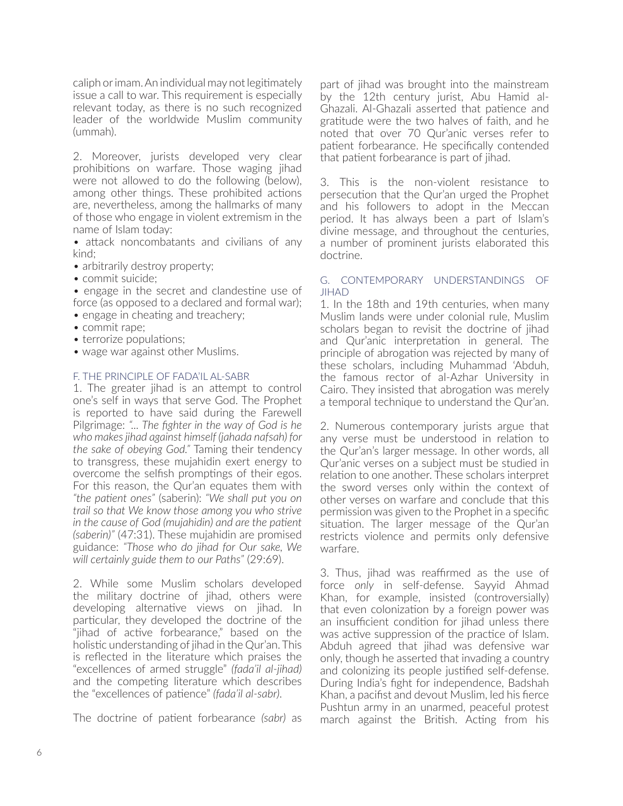caliph or imam. An individual may not legitmately issue a call to war. This requirement is especially relevant today, as there is no such recognized leader of the worldwide Muslim community (ummah).

2. Moreover, jurists developed very clear prohibitons on warfare. Those waging jihad were not allowed to do the following (below), among other things. These prohibited actions are, nevertheless, among the hallmarks of many of those who engage in violent extremism in the name of Islam today:

• attack noncombatants and civilians of any kind;

- arbitrarily destroy property;
- commit suicide;
- engage in the secret and clandestine use of force (as opposed to a declared and formal war); • engage in cheating and treachery;
- commit rape;
- terrorize populations;
- wage war against other Muslims.

#### F. THE PRINCIPLE OF FADA'IL AL-SABR

1. The greater jihad is an atempt to control one's self in ways that serve God. The Prophet is reported to have said during the Farewell Pilgrimage: "... The fighter in the way of God is he who makes jihad against himself (jahada nafsah) for *the sake of obeying God.*" Taming their tendency to transgress, these mujahidin exert energy to overcome the selfish promptings of their egos. For this reason, the Qur'an equates them with "the patient ones" (saberin): "We shall put you on *trail so that We know those among you who strive* in the cause of God (mujahidin) and are the patient (saberin)<sup>"</sup> (47:31). These mujahidin are promised guidance: "Those who do jihad for Our sake, We *will certainly guide them to our Paths" (29:69).* 

2. While some Muslim scholars developed the military doctrine of jihad, others were developing alternative views on jihad. In particular, they developed the doctrine of the "jihad of active forbearance," based on the holistic understanding of jihad in the Qur'an. This is refected in the literature which praises the "excellences of armed struggle" *(fada'il al-jihad)* and the competing literature which describes the "excellences of patience" (fada'il al-sabr).

The doctrine of patient forbearance *(sabr)* as

part of jihad was brought into the mainstream by the 12th century jurist, Abu Hamid al-Ghazali. Al-Ghazali asserted that patience and grattude were the two halves of faith, and he noted that over 70 Qur'anic verses refer to patient forbearance. He specifically contended that patent forbearance is part of jihad.

3. This is the non-violent resistance to persecution that the Qur'an urged the Prophet and his followers to adopt in the Meccan period. It has always been a part of Islam's divine message, and throughout the centuries, a number of prominent jurists elaborated this doctrine.

#### G. CONTEMPORARY UNDERSTANDINGS OF JIHAD

1. In the 18th and 19th centuries, when many Muslim lands were under colonial rule, Muslim scholars began to revisit the doctrine of jihad and Qur'anic interpretaton in general. The principle of abrogation was rejected by many of these scholars, including Muhammad 'Abduh, the famous rector of al-Azhar University in Cairo. They insisted that abrogation was merely a temporal technique to understand the Qur'an.

2. Numerous contemporary jurists argue that any verse must be understood in relation to the Qur'an's larger message. In other words, all Qur'anic verses on a subject must be studied in relation to one another. These scholars interpret the sword verses only within the context of other verses on warfare and conclude that this permission was given to the Prophet in a specifc situation. The larger message of the Qur'an restricts violence and permits only defensive warfare.

3. Thus, jihad was reafrmed as the use of force only in self-defense. Sayyid Ahmad Khan, for example, insisted (controversially) that even colonization by a foreign power was an insufficient condition for jihad unless there was active suppression of the practice of Islam. Abduh agreed that jihad was defensive war only, though he asserted that invading a country and colonizing its people justified self-defense. During India's fght for independence, Badshah Khan, a pacifst and devout Muslim, led his ferce Pushtun army in an unarmed, peaceful protest march against the British. Acting from his